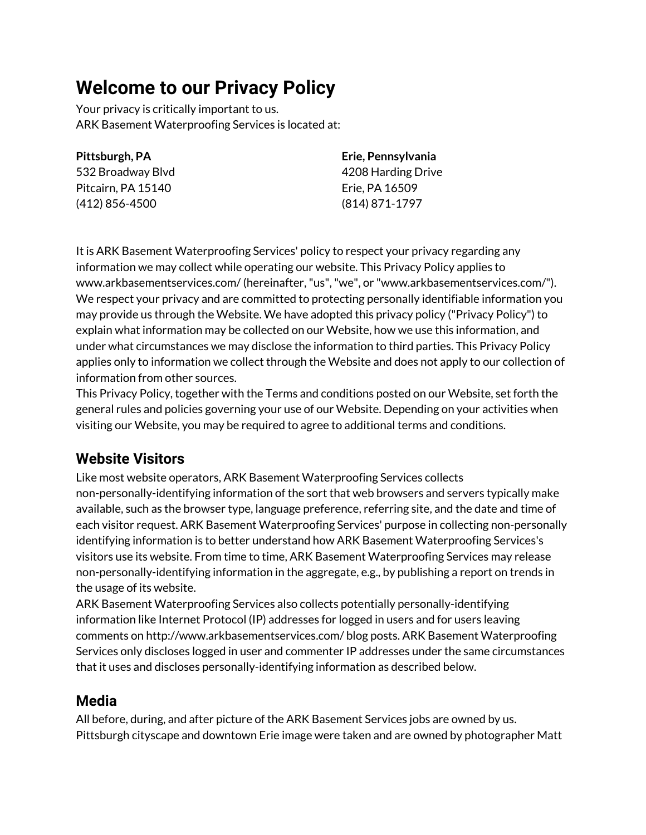# **Welcome to our Privacy Policy**

Your privacy is critically important to us. ARK Basement Waterproofing Services is located at:

**Pittsburgh, PA** 532 Broadway Blvd Pitcairn, PA 15140 (412) 856-4500

**Erie, Pennsylvania** 4208 Harding Drive Erie, PA 16509 (814) 871-1797

It is ARK Basement Waterproofing Services' policy to respect your privacy regarding any information we may collect while operating our website. This Privacy Policy applies to www.arkbasementservices.com/ (hereinafter,"us","we", or "www.arkbasementservices.com/"). We respect your privacy and are committed to protecting personally identifiable information you may provide us through the Website. We have adopted this privacy policy ("Privacy Policy") to explain what information may be collected on our Website, how we use this information, and under what circumstances we may disclose the information to third parties. This Privacy Policy applies only to information we collect through the Website and does not apply to our collection of information from other sources.

This Privacy Policy, together with the Terms and conditions posted on our Website, set forth the general rules and policies governing your use of our Website. Depending on your activities when visiting our Website, you may be required to agree to additional terms and conditions.

## **Website Visitors**

Like most website operators, ARK Basement Waterproofing Services collects non-personally-identifying information of the sort that web browsers and servers typically make available, such as the browser type, language preference, referring site, and the date and time of each visitor request. ARK Basement Waterproofing Services' purpose in collecting non-personally identifying information is to better understand how ARK Basement Waterproofing Services's visitors use its website. From time to time, ARK Basement Waterproofing Services may release non-personally-identifying information in the aggregate, e.g., by publishing a report on trends in the usage of its website.

ARK Basement Waterproofing Services also collects potentially personally-identifying information like Internet Protocol (IP) addresses for logged in users and for users leaving comments on http://www.arkbasementservices.com/ blog posts. ARK Basement Waterproofing Services only discloses logged in user and commenter IP addresses under the same circumstances that it uses and discloses personally-identifying information as described below.

## **Media**

All before, during, and after picture of the ARK Basement Services jobs are owned by us. Pittsburgh cityscape and downtown Erie image were taken and are owned by photographer Matt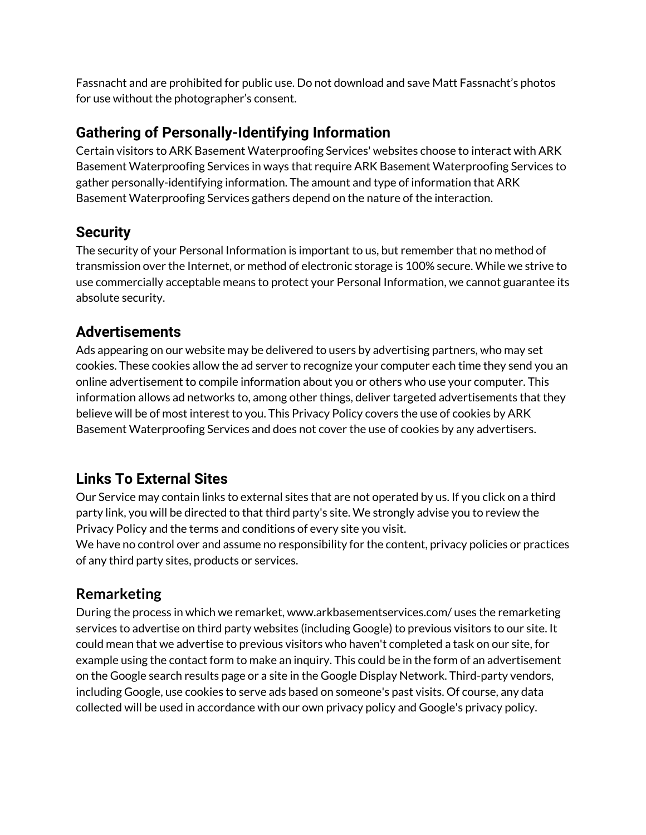Fassnacht and are prohibited for public use. Do not download and save Matt Fassnacht's photos for use without the photographer's consent.

## **Gathering of Personally-Identifying Information**

Certain visitors to ARK Basement Waterproofing Services' websites choose to interact with ARK Basement Waterproofing Services in ways that require ARK Basement Waterproofing Services to gather personally-identifying information. The amount and type of information that ARK Basement Waterproofing Services gathers depend on the nature of the interaction.

#### **Security**

The security of your Personal Information is important to us, but remember that no method of transmission over the Internet, or method of electronic storage is 100% secure. While we strive to use commercially acceptable means to protect your Personal Information, we cannot guarantee its absolute security.

## **Advertisements**

Ads appearing on our website may be delivered to users by advertising partners, who may set cookies. These cookies allow the ad server to recognize your computer each time they send you an online advertisement to compile information about you or others who use your computer. This information allows ad networks to, among other things, deliver targeted advertisements that they believe will be of most interest to you. This Privacy Policy covers the use of cookies by ARK Basement Waterproofing Services and does not cover the use of cookies by any advertisers.

# **Links To External Sites**

Our Service may contain links to external sites that are not operated by us. If you click on a third party link, you will be directed to that third party's site. We strongly advise you to review the Privacy Policy and the terms and conditions of every site you visit.

We have no control over and assume no responsibility for the content, privacy policies or practices of any third party sites, products or services.

## **Remarketing**

During the process in which we remarket, www.arkbasementservices.com/ uses the remarketing services to advertise on third party websites (including Google) to previous visitors to our site. It could mean that we advertise to previous visitors who haven't completed a task on our site, for example using the contact form to make an inquiry. This could be in the form of an advertisement on the Google search results page or a site in the Google Display Network. Third-party vendors, including Google, use cookies to serve ads based on someone's past visits. Of course, any data collected will be used in accordance with our own privacy policy and Google's privacy policy.